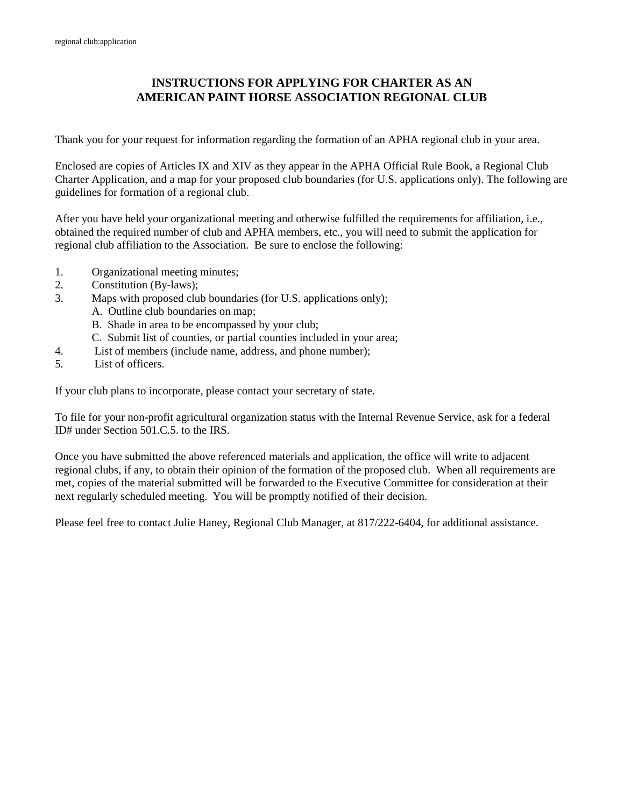# **INSTRUCTIONS FOR APPLYING FOR CHARTER AS AN AMERICAN PAINT HORSE ASSOCIATION REGIONAL CLUB**

Thank you for your request for information regarding the formation of an APHA regional club in your area.

Enclosed are copies of Articles IX and XIV as they appear in the APHA Official Rule Book, a Regional Club Charter Application, and a map for your proposed club boundaries (for U.S. applications only). The following are guidelines for formation of a regional club.

After you have held your organizational meeting and otherwise fulfilled the requirements for affiliation, i.e., obtained the required number of club and APHA members, etc., you will need to submit the application for regional club affiliation to the Association. Be sure to enclose the following:

- 1. Organizational meeting minutes;
- 2. Constitution (By-laws);
- 3. Maps with proposed club boundaries (for U.S. applications only);
	- A. Outline club boundaries on map;
		- B. Shade in area to be encompassed by your club;
		- C. Submit list of counties, or partial counties included in your area;
- 4. List of members (include name, address, and phone number);
- 5. List of officers.

If your club plans to incorporate, please contact your secretary of state.

To file for your non-profit agricultural organization status with the Internal Revenue Service, ask for a federal ID# under Section 501.C.5. to the IRS.

Once you have submitted the above referenced materials and application, the office will write to adjacent regional clubs, if any, to obtain their opinion of the formation of the proposed club. When all requirements are met, copies of the material submitted will be forwarded to the Executive Committee for consideration at their next regularly scheduled meeting. You will be promptly notified of their decision.

Please feel free to contact Julie Haney, Regional Club Manager, at 817/222-6404, for additional assistance.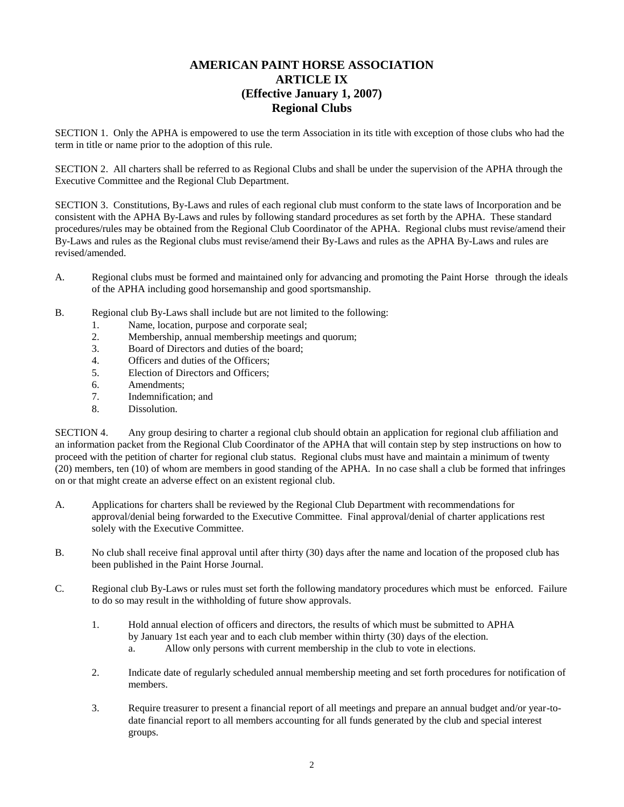### **AMERICAN PAINT HORSE ASSOCIATION ARTICLE IX (Effective January 1, 2007) Regional Clubs**

SECTION 1. Only the APHA is empowered to use the term Association in its title with exception of those clubs who had the term in title or name prior to the adoption of this rule.

SECTION 2. All charters shall be referred to as Regional Clubs and shall be under the supervision of the APHA through the Executive Committee and the Regional Club Department.

SECTION 3. Constitutions, By-Laws and rules of each regional club must conform to the state laws of Incorporation and be consistent with the APHA By-Laws and rules by following standard procedures as set forth by the APHA. These standard procedures/rules may be obtained from the Regional Club Coordinator of the APHA. Regional clubs must revise/amend their By-Laws and rules as the Regional clubs must revise/amend their By-Laws and rules as the APHA By-Laws and rules are revised/amended.

- A. Regional clubs must be formed and maintained only for advancing and promoting the Paint Horse through the ideals of the APHA including good horsemanship and good sportsmanship.
- B. Regional club By-Laws shall include but are not limited to the following:
	- 1. Name, location, purpose and corporate seal;
	- 2. Membership, annual membership meetings and quorum;
	- 3. Board of Directors and duties of the board;
	- 4. Officers and duties of the Officers;
	- 5. Election of Directors and Officers;
	- 6. Amendments;
	- 7. Indemnification; and
	- 8. Dissolution.

SECTION 4. Any group desiring to charter a regional club should obtain an application for regional club affiliation and an information packet from the Regional Club Coordinator of the APHA that will contain step by step instructions on how to proceed with the petition of charter for regional club status. Regional clubs must have and maintain a minimum of twenty (20) members, ten (10) of whom are members in good standing of the APHA. In no case shall a club be formed that infringes on or that might create an adverse effect on an existent regional club.

- A. Applications for charters shall be reviewed by the Regional Club Department with recommendations for approval/denial being forwarded to the Executive Committee. Final approval/denial of charter applications rest solely with the Executive Committee.
- B. No club shall receive final approval until after thirty (30) days after the name and location of the proposed club has been published in the Paint Horse Journal.
- C. Regional club By-Laws or rules must set forth the following mandatory procedures which must be enforced. Failure to do so may result in the withholding of future show approvals.
	- 1. Hold annual election of officers and directors, the results of which must be submitted to APHA by January 1st each year and to each club member within thirty (30) days of the election.
		- a. Allow only persons with current membership in the club to vote in elections.
	- 2. Indicate date of regularly scheduled annual membership meeting and set forth procedures for notification of members.
	- 3. Require treasurer to present a financial report of all meetings and prepare an annual budget and/or year-todate financial report to all members accounting for all funds generated by the club and special interest groups.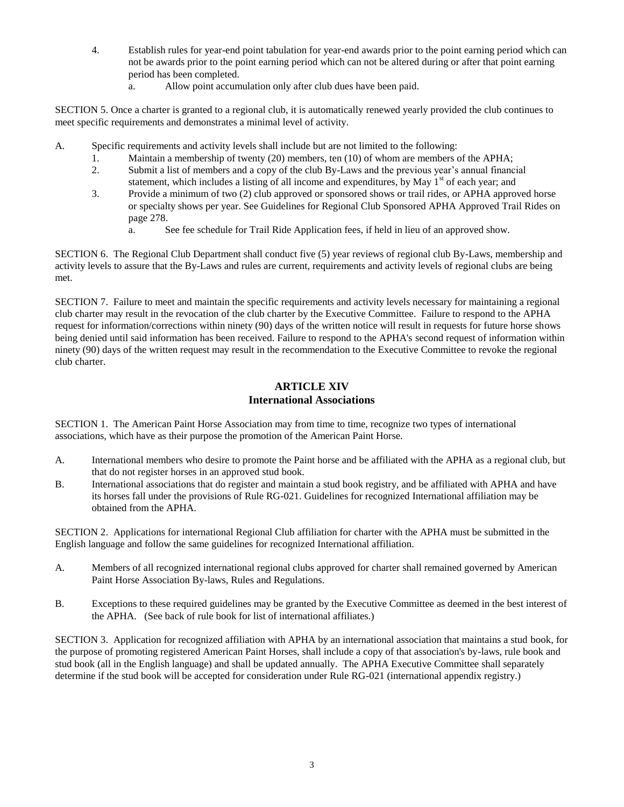- 4. Establish rules for year-end point tabulation for year-end awards prior to the point earning period which can not be awards prior to the point earning period which can not be altered during or after that point earning period has been completed.
	- a. Allow point accumulation only after club dues have been paid.

SECTION 5. Once a charter is granted to a regional club, it is automatically renewed yearly provided the club continues to meet specific requirements and demonstrates a minimal level of activity.

- A. Specific requirements and activity levels shall include but are not limited to the following:
	- 1. Maintain a membership of twenty (20) members, ten (10) of whom are members of the APHA;
	- 2. Submit a list of members and a copy of the club By-Laws and the previous year's annual financial statement, which includes a listing of all income and expenditures, by May  $1<sup>st</sup>$  of each year; and
	- 3. Provide a minimum of two (2) club approved or sponsored shows or trail rides, or APHA approved horse or specialty shows per year. See Guidelines for Regional Club Sponsored APHA Approved Trail Rides on page 278.
		- a. See fee schedule for Trail Ride Application fees, if held in lieu of an approved show.

SECTION 6. The Regional Club Department shall conduct five (5) year reviews of regional club By-Laws, membership and activity levels to assure that the By-Laws and rules are current, requirements and activity levels of regional clubs are being met.

SECTION 7. Failure to meet and maintain the specific requirements and activity levels necessary for maintaining a regional club charter may result in the revocation of the club charter by the Executive Committee. Failure to respond to the APHA request for information/corrections within ninety (90) days of the written notice will result in requests for future horse shows being denied until said information has been received. Failure to respond to the APHA's second request of information within ninety (90) days of the written request may result in the recommendation to the Executive Committee to revoke the regional club charter.

#### **ARTICLE XIV International Associations**

SECTION 1. The American Paint Horse Association may from time to time, recognize two types of international associations, which have as their purpose the promotion of the American Paint Horse.

- A. International members who desire to promote the Paint horse and be affiliated with the APHA as a regional club, but that do not register horses in an approved stud book.
- B. International associations that do register and maintain a stud book registry, and be affiliated with APHA and have its horses fall under the provisions of Rule RG-021. Guidelines for recognized International affiliation may be obtained from the APHA.

SECTION 2. Applications for international Regional Club affiliation for charter with the APHA must be submitted in the English language and follow the same guidelines for recognized International affiliation.

- A. Members of all recognized international regional clubs approved for charter shall remained governed by American Paint Horse Association By-laws, Rules and Regulations.
- B. Exceptions to these required guidelines may be granted by the Executive Committee as deemed in the best interest of the APHA. (See back of rule book for list of international affiliates.)

SECTION 3. Application for recognized affiliation with APHA by an international association that maintains a stud book, for the purpose of promoting registered American Paint Horses, shall include a copy of that association's by-laws, rule book and stud book (all in the English language) and shall be updated annually. The APHA Executive Committee shall separately determine if the stud book will be accepted for consideration under Rule RG-021 (international appendix registry.)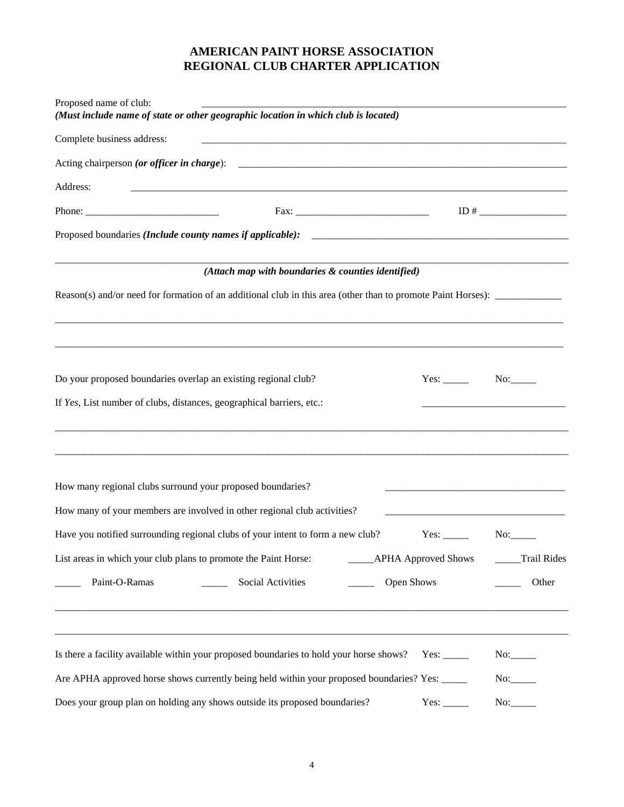# **AMERICAN PAINT HORSE ASSOCIATION REGIONAL CLUB CHARTER APPLICATION**

| Proposed name of club:<br>(Must include name of state or other geographic location in which club is located)                                                                 |                       |             |  |  |  |  |
|------------------------------------------------------------------------------------------------------------------------------------------------------------------------------|-----------------------|-------------|--|--|--|--|
| Complete business address:                                                                                                                                                   |                       |             |  |  |  |  |
| Acting chairperson (or officer in charge):                                                                                                                                   |                       |             |  |  |  |  |
| Address:                                                                                                                                                                     |                       |             |  |  |  |  |
| $Fax: __________$                                                                                                                                                            |                       |             |  |  |  |  |
|                                                                                                                                                                              |                       |             |  |  |  |  |
| (Attach map with boundaries & counties identified)                                                                                                                           |                       |             |  |  |  |  |
|                                                                                                                                                                              |                       |             |  |  |  |  |
| Do your proposed boundaries overlap an existing regional club?                                                                                                               |                       |             |  |  |  |  |
| If Yes, List number of clubs, distances, geographical barriers, etc.:                                                                                                        |                       |             |  |  |  |  |
| How many regional clubs surround your proposed boundaries?<br>How many of your members are involved in other regional club activities?                                       |                       |             |  |  |  |  |
| Have you notified surrounding regional clubs of your intent to form a new club?                                                                                              |                       |             |  |  |  |  |
| List areas in which your club plans to promote the Paint Horse:                                                                                                              | __APHA Approved Shows | Trail Rides |  |  |  |  |
| Paint-O-Ramas<br>Social Activities                                                                                                                                           | Open Shows            | Other       |  |  |  |  |
|                                                                                                                                                                              |                       |             |  |  |  |  |
| Is there a facility available within your proposed boundaries to hold your horse shows? Yes: _____                                                                           |                       |             |  |  |  |  |
| Are APHA approved horse shows currently being held within your proposed boundaries? Yes: _____<br>Does your group plan on holding any shows outside its proposed boundaries? | Yes: $\_\_$           | No:         |  |  |  |  |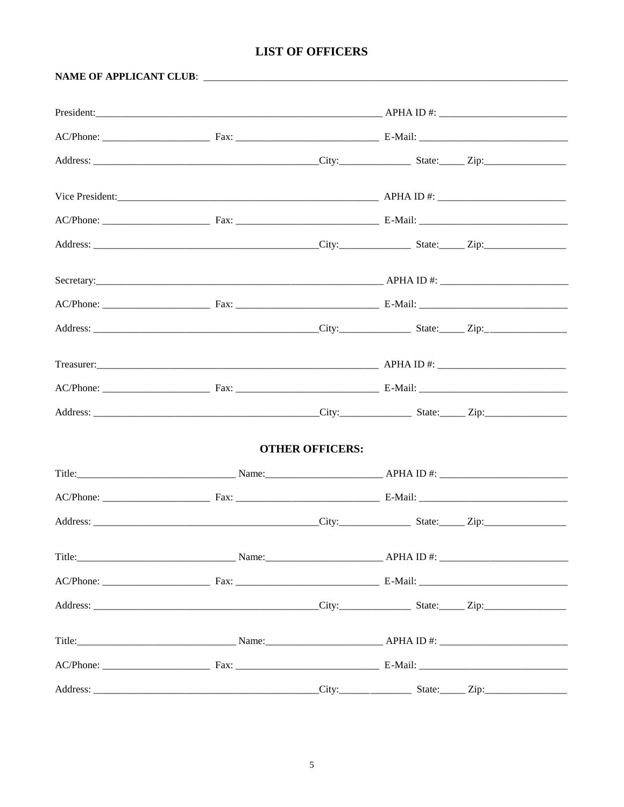# **LIST OF OFFICERS**

|          |                   | <b>OTHER OFFICERS:</b> |  |  |
|----------|-------------------|------------------------|--|--|
|          |                   |                        |  |  |
|          |                   |                        |  |  |
|          |                   |                        |  |  |
|          |                   |                        |  |  |
|          |                   |                        |  |  |
|          |                   |                        |  |  |
|          |                   |                        |  |  |
|          |                   |                        |  |  |
| Address: | City: State: Zip: |                        |  |  |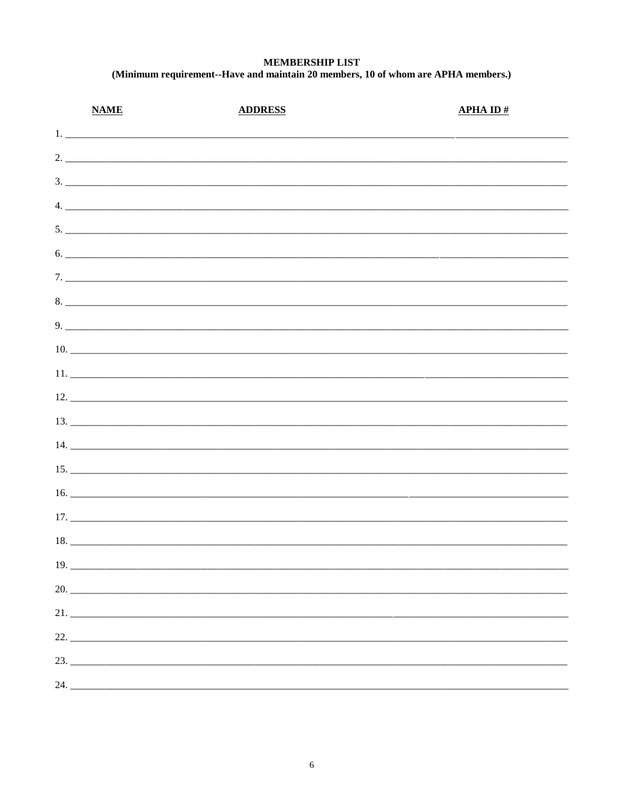#### **MEMBERSHIP LIST** (Minimum requirement--Have and maintain 20 members, 10 of whom are APHA members.)

| <b>NAME</b> | <b>ADDRESS</b> | <b>APHA ID#</b> |
|-------------|----------------|-----------------|
| 1.          |                |                 |
|             | 2.             |                 |
|             |                |                 |
|             |                |                 |
|             | 5.             |                 |
|             | 6.             |                 |
|             |                |                 |
|             |                |                 |
|             |                |                 |
|             |                |                 |
|             |                |                 |
|             |                |                 |
|             |                |                 |
|             |                |                 |
|             | 15.            |                 |
|             |                |                 |
|             |                |                 |
|             |                |                 |
| 19.         |                |                 |
| 20.         |                |                 |
|             |                |                 |
| 22.         |                |                 |
| 23.         |                |                 |
|             |                |                 |
|             |                |                 |